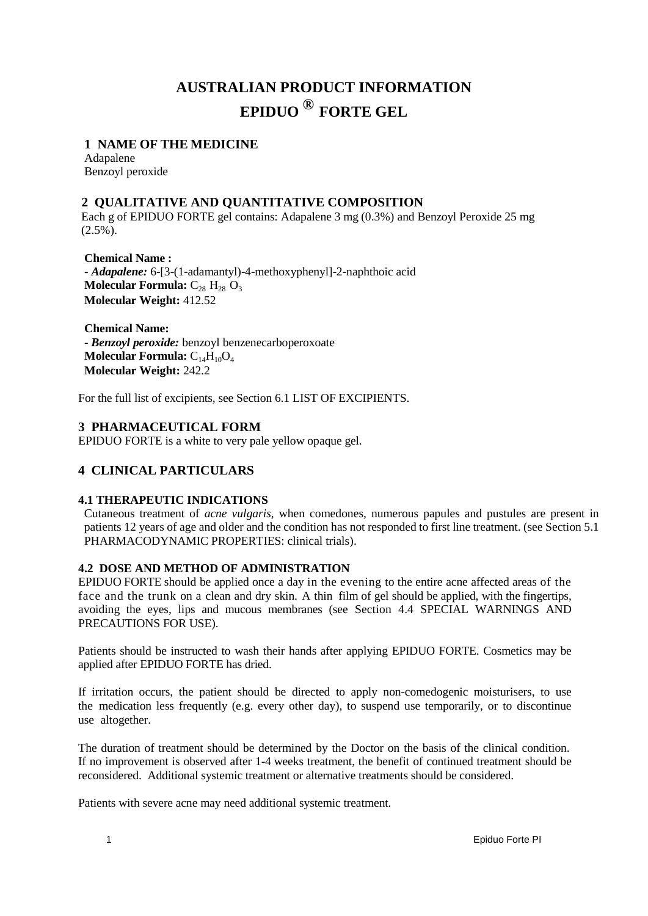# **AUSTRALIAN PRODUCT INFORMATION EPIDUO ® FORTE GEL**

## **1 NAME OF THE MEDICINE**

Adapalene Benzoyl peroxide

# **2 QUALITATIVE AND QUANTITATIVE COMPOSITION**

Each g of EPIDUO FORTE gel contains: Adapalene 3 mg (0.3%) and Benzoyl Peroxide 25 mg  $(2.5\%)$ .

**Chemical Name : -** *Adapalene:* 6-[3-(1-adamantyl)-4-methoxyphenyl]-2-naphthoic acid **Molecular Formula:**  $C_{28}$   $H_{28}$   $O_3$ **Molecular Weight:** 412.52

**Chemical Name:** - *Benzoyl peroxide:* benzoyl benzenecarboperoxoate **Molecular Formula:**  $C_{14}H_{10}O_4$ **Molecular Weight:** 242.2

For the full list of excipients, see Section 6.1 LIST OF EXCIPIENTS.

## **3 PHARMACEUTICAL FORM**

EPIDUO FORTE is a white to very pale yellow opaque gel.

# **4 CLINICAL PARTICULARS**

## **4.1 THERAPEUTIC INDICATIONS**

Cutaneous treatment of *acne vulgaris*, when comedones, numerous papules and pustules are present in patients 12 years of age and older and the condition has not responded to first line treatment. (see Section 5.1 PHARMACODYNAMIC PROPERTIES: clinical trials).

## **4.2 DOSE AND METHOD OF ADMINISTRATION**

EPIDUO FORTE should be applied once a day in the evening to the entire acne affected areas of the face and the trunk on a clean and dry skin. A thin film of gel should be applied, with the fingertips, avoiding the eyes, lips and mucous membranes (see Section 4.4 SPECIAL WARNINGS AND PRECAUTIONS FOR USE).

Patients should be instructed to wash their hands after applying EPIDUO FORTE. Cosmetics may be applied after EPIDUO FORTE has dried.

If irritation occurs, the patient should be directed to apply non-comedogenic moisturisers, to use the medication less frequently (e.g. every other day), to suspend use temporarily, or to discontinue use altogether.

The duration of treatment should be determined by the Doctor on the basis of the clinical condition. If no improvement is observed after 1-4 weeks treatment, the benefit of continued treatment should be reconsidered. Additional systemic treatment or alternative treatments should be considered.

Patients with severe acne may need additional systemic treatment.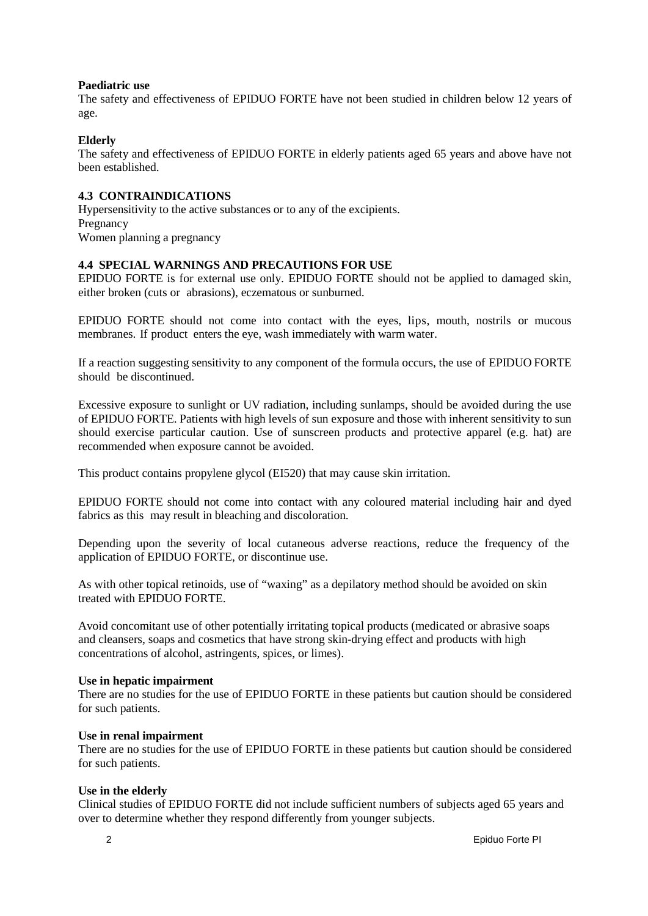#### **Paediatric use**

The safety and effectiveness of EPIDUO FORTE have not been studied in children below 12 years of age.

## **Elderly**

The safety and effectiveness of EPIDUO FORTE in elderly patients aged 65 years and above have not been established.

## **4.3 CONTRAINDICATIONS**

Hypersensitivity to the active substances or to any of the excipients. Pregnancy Women planning a pregnancy

## **4.4 SPECIAL WARNINGS AND PRECAUTIONS FOR USE**

EPIDUO FORTE is for external use only. EPIDUO FORTE should not be applied to damaged skin, either broken (cuts or abrasions), eczematous or sunburned.

EPIDUO FORTE should not come into contact with the eyes, lips, mouth, nostrils or mucous membranes. If product enters the eye, wash immediately with warm water.

If a reaction suggesting sensitivity to any component of the formula occurs, the use of EPIDUO FORTE should be discontinued.

Excessive exposure to sunlight or UV radiation, including sunlamps, should be avoided during the use of EPIDUO FORTE. Patients with high levels of sun exposure and those with inherent sensitivity to sun should exercise particular caution. Use of sunscreen products and protective apparel (e.g. hat) are recommended when exposure cannot be avoided.

This product contains propylene glycol (EI520) that may cause skin irritation.

EPIDUO FORTE should not come into contact with any coloured material including hair and dyed fabrics as this may result in bleaching and discoloration.

Depending upon the severity of local cutaneous adverse reactions, reduce the frequency of the application of EPIDUO FORTE, or discontinue use.

As with other topical retinoids, use of "waxing" as a depilatory method should be avoided on skin treated with EPIDUO FORTE.

Avoid concomitant use of other potentially irritating topical products (medicated or abrasive soaps and cleansers, soaps and cosmetics that have strong skin-drying effect and products with high concentrations of alcohol, astringents, spices, or limes).

## **Use in hepatic impairment**

There are no studies for the use of EPIDUO FORTE in these patients but caution should be considered for such patients.

## **Use in renal impairment**

There are no studies for the use of EPIDUO FORTE in these patients but caution should be considered for such patients.

## **Use in the elderly**

Clinical studies of EPIDUO FORTE did not include sufficient numbers of subjects aged 65 years and over to determine whether they respond differently from younger subjects.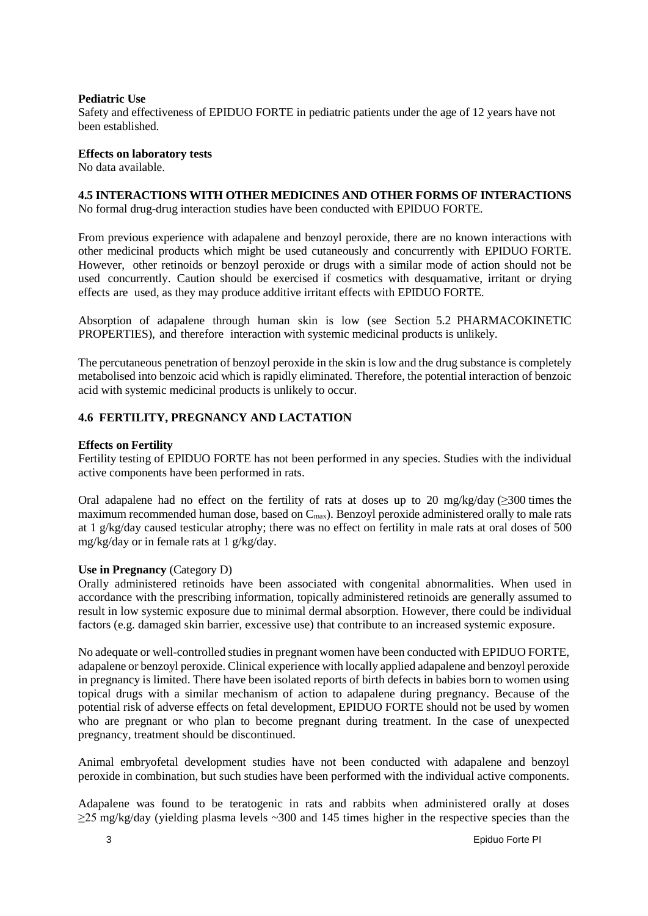#### **Pediatric Use**

Safety and effectiveness of EPIDUO FORTE in pediatric patients under the age of 12 years have not been established.

## **Effects on laboratory tests**

No data available.

#### **4.5 INTERACTIONS WITH OTHER MEDICINES AND OTHER FORMS OF INTERACTIONS** No formal drug-drug interaction studies have been conducted with EPIDUO FORTE.

From previous experience with adapalene and benzoyl peroxide, there are no known interactions with other medicinal products which might be used cutaneously and concurrently with EPIDUO FORTE. However, other retinoids or benzoyl peroxide or drugs with a similar mode of action should not be used concurrently. Caution should be exercised if cosmetics with desquamative, irritant or drying effects are used, as they may produce additive irritant effects with EPIDUO FORTE.

Absorption of adapalene through human skin is low (see Section 5.2 PHARMACOKINETIC PROPERTIES), and therefore interaction with systemic medicinal products is unlikely.

The percutaneous penetration of benzoyl peroxide in the skin is low and the drug substance is completely metabolised into benzoic acid which is rapidly eliminated. Therefore, the potential interaction of benzoic acid with systemic medicinal products is unlikely to occur.

## **4.6 FERTILITY, PREGNANCY AND LACTATION**

## **Effects on Fertility**

Fertility testing of EPIDUO FORTE has not been performed in any species. Studies with the individual active components have been performed in rats.

Oral adapalene had no effect on the fertility of rats at doses up to 20 mg/kg/day ( $\geq$ 300 times the maximum recommended human dose, based on  $C_{\text{max}}$ ). Benzoyl peroxide administered orally to male rats at 1 g/kg/day caused testicular atrophy; there was no effect on fertility in male rats at oral doses of 500 mg/kg/day or in female rats at 1 g/kg/day.

## **Use in Pregnancy** (Category D)

Orally administered retinoids have been associated with congenital abnormalities. When used in accordance with the prescribing information, topically administered retinoids are generally assumed to result in low systemic exposure due to minimal dermal absorption. However, there could be individual factors (e.g. damaged skin barrier, excessive use) that contribute to an increased systemic exposure.

No adequate or well-controlled studies in pregnant women have been conducted with EPIDUO FORTE, adapalene or benzoyl peroxide. Clinical experience with locally applied adapalene and benzoyl peroxide in pregnancy is limited. There have been isolated reports of birth defects in babies born to women using topical drugs with a similar mechanism of action to adapalene during pregnancy. Because of the potential risk of adverse effects on fetal development, EPIDUO FORTE should not be used by women who are pregnant or who plan to become pregnant during treatment. In the case of unexpected pregnancy, treatment should be discontinued.

Animal embryofetal development studies have not been conducted with adapalene and benzoyl peroxide in combination, but such studies have been performed with the individual active components.

Adapalene was found to be teratogenic in rats and rabbits when administered orally at doses  $\geq$ 25 mg/kg/day (yielding plasma levels ~300 and 145 times higher in the respective species than the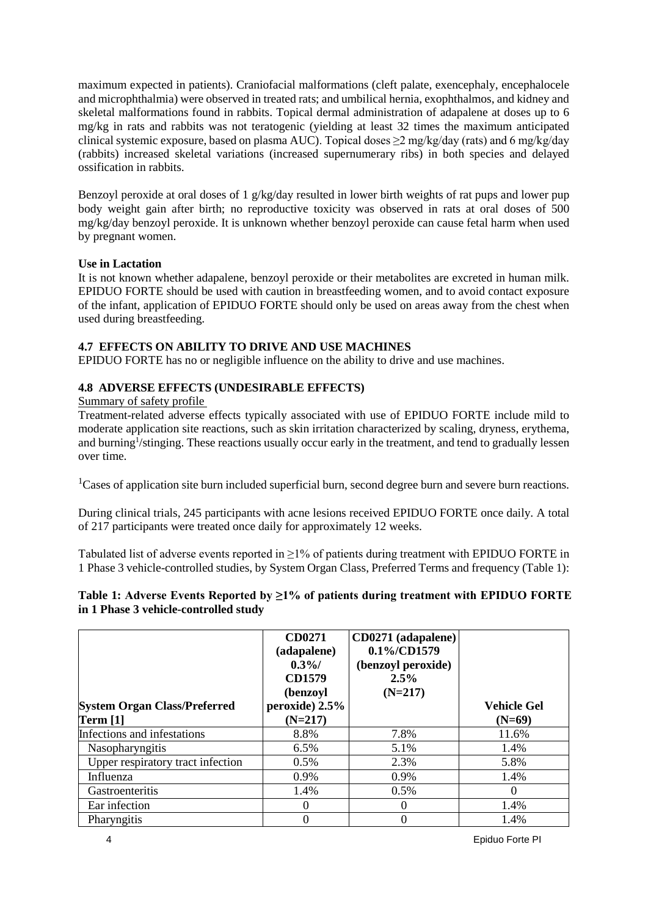maximum expected in patients). Craniofacial malformations (cleft palate, exencephaly, encephalocele and microphthalmia) were observed in treated rats; and umbilical hernia, exophthalmos, and kidney and skeletal malformations found in rabbits. Topical dermal administration of adapalene at doses up to 6 mg/kg in rats and rabbits was not teratogenic (yielding at least 32 times the maximum anticipated clinical systemic exposure, based on plasma AUC). Topical doses  $\geq 2$  mg/kg/day (rats) and 6 mg/kg/day (rabbits) increased skeletal variations (increased supernumerary ribs) in both species and delayed ossification in rabbits.

Benzoyl peroxide at oral doses of 1 g/kg/day resulted in lower birth weights of rat pups and lower pup body weight gain after birth; no reproductive toxicity was observed in rats at oral doses of 500 mg/kg/day benzoyl peroxide. It is unknown whether benzoyl peroxide can cause fetal harm when used by pregnant women.

## **Use in Lactation**

It is not known whether adapalene, benzoyl peroxide or their metabolites are excreted in human milk. EPIDUO FORTE should be used with caution in breastfeeding women, and to avoid contact exposure of the infant, application of EPIDUO FORTE should only be used on areas away from the chest when used during breastfeeding.

## **4.7 EFFECTS ON ABILITY TO DRIVE AND USE MACHINES**

EPIDUO FORTE has no or negligible influence on the ability to drive and use machines.

## **4.8 ADVERSE EFFECTS (UNDESIRABLE EFFECTS)**

## Summary of safety profile

Treatment-related adverse effects typically associated with use of EPIDUO FORTE include mild to moderate application site reactions, such as skin irritation characterized by scaling, dryness, erythema, and burning<sup>1</sup>/stinging. These reactions usually occur early in the treatment, and tend to gradually lessen over time.

<sup>1</sup>Cases of application site burn included superficial burn, second degree burn and severe burn reactions.

During clinical trials, 245 participants with acne lesions received EPIDUO FORTE once daily. A total of 217 participants were treated once daily for approximately 12 weeks.

Tabulated list of adverse events reported in  $\geq$ 1% of patients during treatment with EPIDUO FORTE in 1 Phase 3 vehicle-controlled studies, by System Organ Class, Preferred Terms and frequency (Table 1):

## **Table 1: Adverse Events Reported by ≥1% of patients during treatment with EPIDUO FORTE in 1 Phase 3 vehicle-controlled study**

|                                     | CD0271<br>(adapalene)<br>$0.3\%$<br><b>CD1579</b><br>(benzoyl | CD0271 (adapalene)<br>$0.1\%$ /CD1579<br>(benzoyl peroxide)<br>2.5%<br>$(N=217)$ |                    |
|-------------------------------------|---------------------------------------------------------------|----------------------------------------------------------------------------------|--------------------|
| <b>System Organ Class/Preferred</b> | peroxide) 2.5%                                                |                                                                                  | <b>Vehicle Gel</b> |
| <b>Term [1]</b>                     | $(N=217)$                                                     |                                                                                  | $(N=69)$           |
| Infections and infestations         | 8.8%                                                          | 7.8%                                                                             | 11.6%              |
| Nasopharyngitis                     | 6.5%                                                          | 5.1%                                                                             | 1.4%               |
| Upper respiratory tract infection   | 0.5%                                                          | 2.3%                                                                             | 5.8%               |
| Influenza                           | 0.9%                                                          | 0.9%                                                                             | 1.4%               |
| <b>Gastroenteritis</b>              | 1.4%                                                          | 0.5%                                                                             | $\theta$           |
| Ear infection                       | 0                                                             | 0                                                                                | 1.4%               |
| Pharyngitis                         | 0                                                             | 0                                                                                | 1.4%               |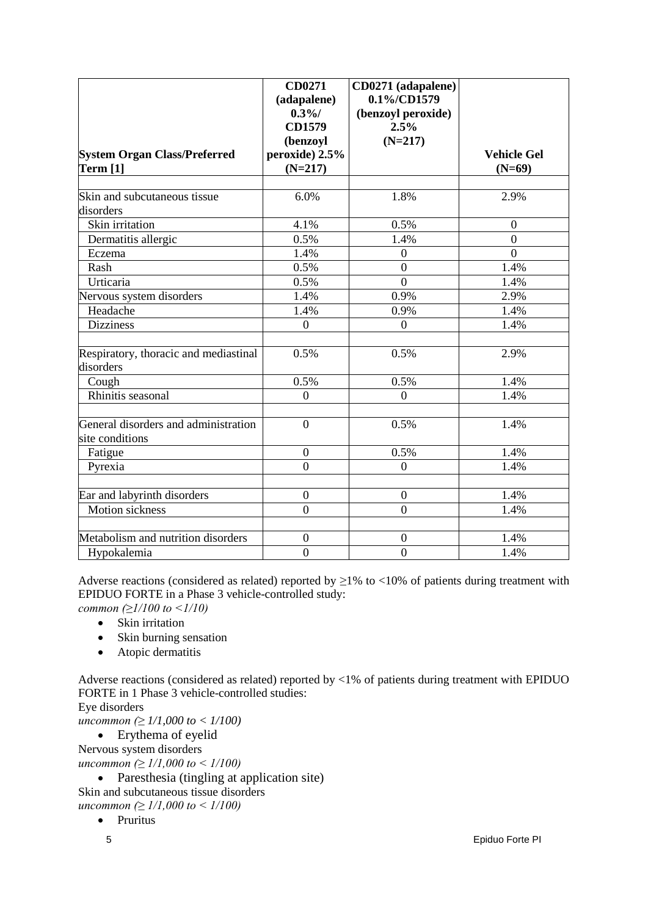|                                       | <b>CD0271</b>    | CD0271 (adapalene) |                    |
|---------------------------------------|------------------|--------------------|--------------------|
|                                       | (adapalene)      | 0.1%/CD1579        |                    |
|                                       | 0.3%             | (benzoyl peroxide) |                    |
|                                       | <b>CD1579</b>    | 2.5%               |                    |
|                                       | (benzoyl         | $(N=217)$          |                    |
| <b>System Organ Class/Preferred</b>   | peroxide) 2.5%   |                    | <b>Vehicle Gel</b> |
| <b>Term [1]</b>                       | $(N=217)$        |                    | $(N=69)$           |
|                                       |                  |                    |                    |
| Skin and subcutaneous tissue          | 6.0%             | 1.8%               | 2.9%               |
| disorders                             |                  |                    |                    |
| Skin irritation                       | 4.1%             | 0.5%               | $\overline{0}$     |
| Dermatitis allergic                   | 0.5%             | 1.4%               | $\overline{0}$     |
| Eczema                                | 1.4%             | $\boldsymbol{0}$   | $\overline{0}$     |
| Rash                                  | 0.5%             | $\overline{0}$     | 1.4%               |
| Urticaria                             | 0.5%             | $\overline{0}$     | 1.4%               |
| Nervous system disorders              | 1.4%             | 0.9%               | 2.9%               |
| Headache                              | 1.4%             | 0.9%               | 1.4%               |
| <b>Dizziness</b>                      | $\overline{0}$   | $\overline{0}$     | 1.4%               |
|                                       |                  |                    |                    |
| Respiratory, thoracic and mediastinal | 0.5%             | 0.5%               | 2.9%               |
| disorders                             |                  |                    |                    |
| Cough                                 | 0.5%             | 0.5%               | 1.4%               |
| Rhinitis seasonal                     | $\overline{0}$   | $\overline{0}$     | 1.4%               |
|                                       |                  |                    |                    |
| General disorders and administration  | $\overline{0}$   | 0.5%               | 1.4%               |
| site conditions                       |                  |                    |                    |
| Fatigue                               | $\boldsymbol{0}$ | 0.5%               | 1.4%               |
| Pyrexia                               | $\overline{0}$   | $\overline{0}$     | 1.4%               |
|                                       |                  |                    |                    |
| Ear and labyrinth disorders           | $\mathbf{0}$     | $\boldsymbol{0}$   | 1.4%               |
| <b>Motion</b> sickness                | $\overline{0}$   | $\overline{0}$     | 1.4%               |
|                                       |                  |                    |                    |
| Metabolism and nutrition disorders    | $\boldsymbol{0}$ | $\boldsymbol{0}$   | 1.4%               |
| Hypokalemia                           | $\boldsymbol{0}$ | $\overline{0}$     | 1.4%               |

Adverse reactions (considered as related) reported by  $\geq$ 1% to <10% of patients during treatment with EPIDUO FORTE in a Phase 3 vehicle-controlled study:

*common (≥1/100 to <1/10)*

- Skin irritation
- Skin burning sensation
- Atopic dermatitis

Adverse reactions (considered as related) reported by <1% of patients during treatment with EPIDUO FORTE in 1 Phase 3 vehicle-controlled studies:

Eye disorders

*uncommon (≥ 1/1,000 to < 1/100)*

• Erythema of eyelid Nervous system disorders *uncommon (≥ 1/1,000 to < 1/100)*

• Paresthesia (tingling at application site) Skin and subcutaneous tissue disorders *uncommon (≥ 1/1,000 to < 1/100)*

• Pruritus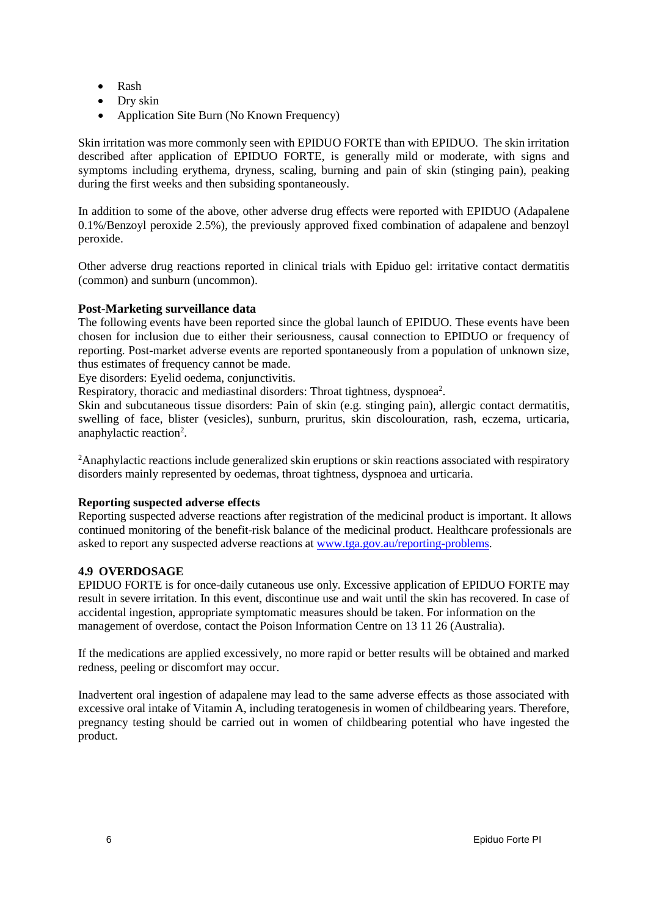- Rash
- Dry skin
- Application Site Burn (No Known Frequency)

Skin irritation was more commonly seen with EPIDUO FORTE than with EPIDUO. The skin irritation described after application of EPIDUO FORTE, is generally mild or moderate, with signs and symptoms including erythema, dryness, scaling, burning and pain of skin (stinging pain), peaking during the first weeks and then subsiding spontaneously.

In addition to some of the above, other adverse drug effects were reported with EPIDUO (Adapalene 0.1%/Benzoyl peroxide 2.5%), the previously approved fixed combination of adapalene and benzoyl peroxide.

Other adverse drug reactions reported in clinical trials with Epiduo gel: irritative contact dermatitis (common) and sunburn (uncommon).

## **Post-Marketing surveillance data**

The following events have been reported since the global launch of EPIDUO. These events have been chosen for inclusion due to either their seriousness, causal connection to EPIDUO or frequency of reporting. Post-market adverse events are reported spontaneously from a population of unknown size, thus estimates of frequency cannot be made.

Eye disorders: Eyelid oedema, conjunctivitis.

Respiratory, thoracic and mediastinal disorders: Throat tightness, dyspnoea<sup>2</sup>.

Skin and subcutaneous tissue disorders: Pain of skin (e.g. stinging pain), allergic contact dermatitis, swelling of face, blister (vesicles), sunburn, pruritus, skin discolouration, rash, eczema, urticaria, anaphylactic reaction<sup>2</sup>.

<sup>2</sup> Anaphylactic reactions include generalized skin eruptions or skin reactions associated with respiratory disorders mainly represented by oedemas, throat tightness, dyspnoea and urticaria.

## **Reporting suspected adverse effects**

Reporting suspected adverse reactions after registration of the medicinal product is important. It allows continued monitoring of the benefit-risk balance of the medicinal product. Healthcare professionals are asked to report any suspected adverse reactions at [www.tga.gov.au/reporting-problems.](http://www.tga.gov.au/reporting-problems)

#### **4.9 OVERDOSAGE**

EPIDUO FORTE is for once-daily cutaneous use only. Excessive application of EPIDUO FORTE may result in severe irritation. In this event, discontinue use and wait until the skin has recovered. In case of accidental ingestion, appropriate symptomatic measures should be taken. For information on the management of overdose, contact the Poison Information Centre on 13 11 26 (Australia).

If the medications are applied excessively, no more rapid or better results will be obtained and marked redness, peeling or discomfort may occur.

Inadvertent oral ingestion of adapalene may lead to the same adverse effects as those associated with excessive oral intake of Vitamin A, including teratogenesis in women of childbearing years. Therefore, pregnancy testing should be carried out in women of childbearing potential who have ingested the product.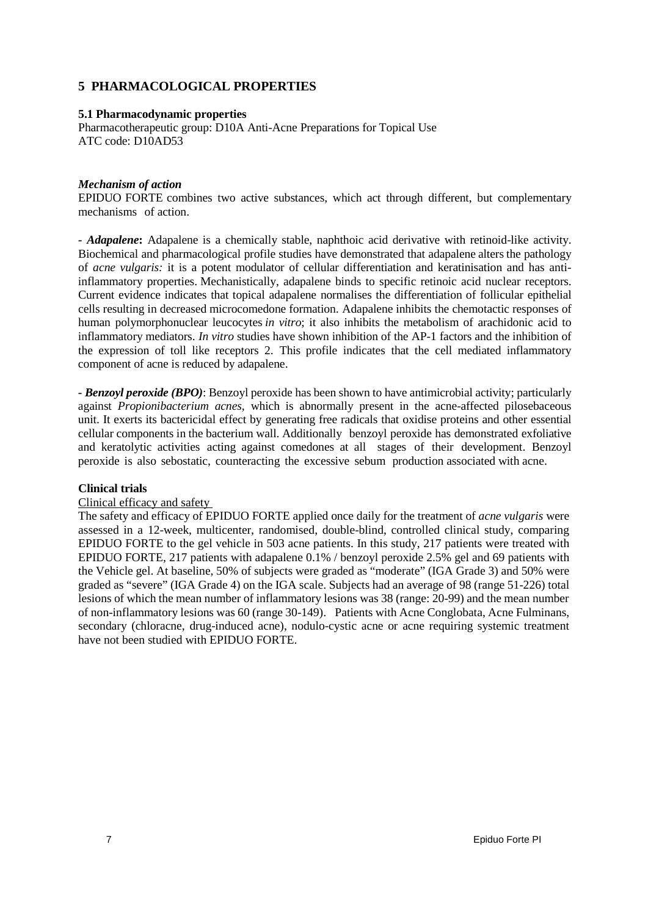# **5 PHARMACOLOGICAL PROPERTIES**

## **5.1 Pharmacodynamic properties**

Pharmacotherapeutic group: D10A Anti-Acne [Preparations](http://www.whocc.no/atcddd/indexdatabase/index.php?query=D10A) for Topical Use ATC code: D10AD53

#### *Mechanism of action*

EPIDUO FORTE combines two active substances, which act through different, but complementary mechanisms of action.

*- Adapalene***:** Adapalene is a chemically stable, naphthoic acid derivative with retinoid-like activity. Biochemical and pharmacological profile studies have demonstrated that adapalene alters the pathology of *acne vulgaris:* it is a potent modulator of cellular differentiation and keratinisation and has antiinflammatory properties. Mechanistically, adapalene binds to specific retinoic acid nuclear receptors. Current evidence indicates that topical adapalene normalises the differentiation of follicular epithelial cells resulting in decreased microcomedone formation. Adapalene inhibits the chemotactic responses of human polymorphonuclear leucocytes *in vitro*; it also inhibits the metabolism of arachidonic acid to inflammatory mediators. *In vitro* studies have shown inhibition of the AP-1 factors and the inhibition of the expression of toll like receptors 2. This profile indicates that the cell mediated inflammatory component of acne is reduced by adapalene.

**-** *Benzoyl peroxide (BPO)*: Benzoyl peroxide has been shown to have antimicrobial activity; particularly against *Propionibacterium acnes*, which is abnormally present in the acne-affected pilosebaceous unit. It exerts its bactericidal effect by generating free radicals that oxidise proteins and other essential cellular components in the bacterium wall. Additionally benzoyl peroxide has demonstrated exfoliative and keratolytic activities acting against comedones at all stages of their development. Benzoyl peroxide is also sebostatic, counteracting the excessive sebum production associated with acne.

## **Clinical trials**

#### Clinical efficacy and safety

The safety and efficacy of EPIDUO FORTE applied once daily for the treatment of *acne vulgaris* were assessed in a 12-week, multicenter, randomised, double-blind, controlled clinical study, comparing EPIDUO FORTE to the gel vehicle in 503 acne patients. In this study, 217 patients were treated with EPIDUO FORTE, 217 patients with adapalene 0.1% / benzoyl peroxide 2.5% gel and 69 patients with the Vehicle gel. At baseline, 50% of subjects were graded as "moderate" (IGA Grade 3) and 50% were graded as "severe" (IGA Grade 4) on the IGA scale. Subjects had an average of 98 (range 51-226) total lesions of which the mean number of inflammatory lesions was 38 (range: 20-99) and the mean number of non-inflammatory lesions was 60 (range 30-149). Patients with Acne Conglobata, Acne Fulminans, secondary (chloracne, drug-induced acne), nodulo-cystic acne or acne requiring systemic treatment have not been studied with EPIDUO FORTE.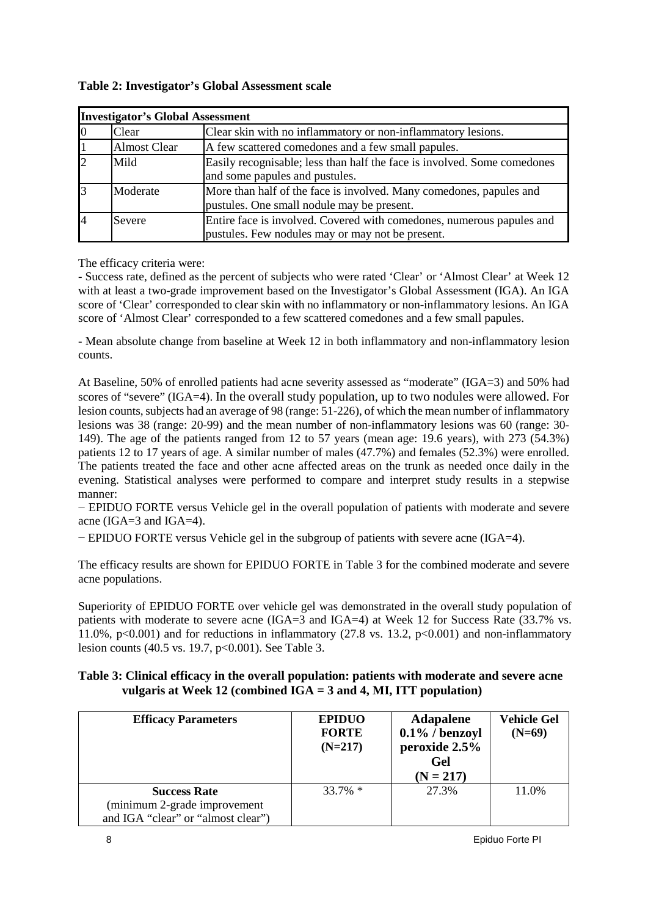| <b>Investigator's Global Assessment</b> |                     |                                                                                                                           |
|-----------------------------------------|---------------------|---------------------------------------------------------------------------------------------------------------------------|
| Ю                                       | Clear               | Clear skin with no inflammatory or non-inflammatory lesions.                                                              |
|                                         | <b>Almost Clear</b> | A few scattered comedones and a few small papules.                                                                        |
|                                         | Mild                | Easily recognisable; less than half the face is involved. Some comedones<br>and some papules and pustules.                |
|                                         | Moderate            | More than half of the face is involved. Many comedones, papules and<br>pustules. One small nodule may be present.         |
|                                         | Severe              | Entire face is involved. Covered with comedones, numerous papules and<br>pustules. Few nodules may or may not be present. |

## **Table 2: Investigator's Global Assessment scale**

The efficacy criteria were:

- Success rate, defined as the percent of subjects who were rated 'Clear' or 'Almost Clear' at Week 12 with at least a two-grade improvement based on the Investigator's Global Assessment (IGA). An IGA score of 'Clear' corresponded to clear skin with no inflammatory or non-inflammatory lesions. An IGA score of 'Almost Clear' corresponded to a few scattered comedones and a few small papules.

- Mean absolute change from baseline at Week 12 in both inflammatory and non-inflammatory lesion counts.

At Baseline, 50% of enrolled patients had acne severity assessed as "moderate" (IGA=3) and 50% had scores of "severe" (IGA=4). In the overall study population, up to two nodules were allowed. For lesion counts, subjects had an average of 98 (range: 51-226), of which the mean number of inflammatory lesions was 38 (range: 20-99) and the mean number of non-inflammatory lesions was 60 (range: 30- 149). The age of the patients ranged from 12 to 57 years (mean age: 19.6 years), with 273 (54.3%) patients 12 to 17 years of age. A similar number of males (47.7%) and females (52.3%) were enrolled. The patients treated the face and other acne affected areas on the trunk as needed once daily in the evening. Statistical analyses were performed to compare and interpret study results in a stepwise manner:

− EPIDUO FORTE versus Vehicle gel in the overall population of patients with moderate and severe acne (IGA=3 and IGA=4).

− EPIDUO FORTE versus Vehicle gel in the subgroup of patients with severe acne (IGA=4).

The efficacy results are shown for EPIDUO FORTE in Table 3 for the combined moderate and severe acne populations.

Superiority of EPIDUO FORTE over vehicle gel was demonstrated in the overall study population of patients with moderate to severe acne (IGA=3 and IGA=4) at Week 12 for Success Rate (33.7% vs. 11.0%,  $p<0.001$ ) and for reductions in inflammatory (27.8 vs. 13.2,  $p<0.001$ ) and non-inflammatory lesion counts (40.5 vs. 19.7, p<0.001). See Table 3.

## **Table 3: Clinical efficacy in the overall population: patients with moderate and severe acne vulgaris at Week 12 (combined IGA = 3 and 4, MI, ITT population)**

| <b>Efficacy Parameters</b>         | <b>EPIDUO</b><br><b>FORTE</b><br>$(N=217)$ | <b>Adapalene</b><br>$0.1\%$ / benzoyl<br>peroxide 2.5%<br>Gel<br>$(N = 217)$ | <b>Vehicle Gel</b><br>$(N=69)$ |
|------------------------------------|--------------------------------------------|------------------------------------------------------------------------------|--------------------------------|
| <b>Success Rate</b>                | $33.7\%$ *                                 | 27.3%                                                                        | 11.0%                          |
| (minimum 2-grade improvement       |                                            |                                                                              |                                |
| and IGA "clear" or "almost clear") |                                            |                                                                              |                                |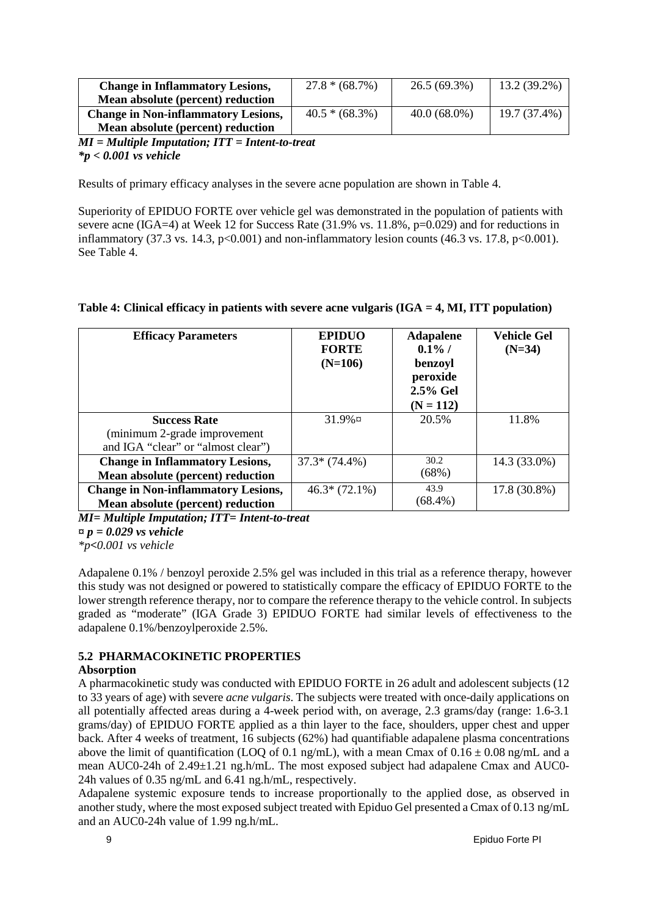| <b>Change in Inflammatory Lesions,</b>            | $27.8*(68.7%)$    | $26.5(69.3\%)$ | 13.2 (39.2%) |
|---------------------------------------------------|-------------------|----------------|--------------|
| Mean absolute (percent) reduction                 |                   |                |              |
| <b>Change in Non-inflammatory Lesions,</b>        | $40.5 * (68.3\%)$ | $40.0(68.0\%)$ | 19.7 (37.4%) |
| Mean absolute (percent) reduction                 |                   |                |              |
| $MI = Multiple Imputation; ITT = Intent-to-treat$ |                   |                |              |

## *\*p < 0.001 vs vehicle*

Results of primary efficacy analyses in the severe acne population are shown in Table 4.

Superiority of EPIDUO FORTE over vehicle gel was demonstrated in the population of patients with severe acne (IGA=4) at Week 12 for Success Rate (31.9% vs. 11.8%, p=0.029) and for reductions in inflammatory (37.3 vs. 14.3,  $p<0.001$ ) and non-inflammatory lesion counts (46.3 vs. 17.8,  $p<0.001$ ). See Table 4.

#### **Table 4: Clinical efficacy in patients with severe acne vulgaris (IGA = 4, MI, ITT population)**

| <b>Efficacy Parameters</b>                          | <b>EPIDUO</b><br><b>FORTE</b><br>$(N=106)$ | <b>Adapalene</b><br>$0.1\%$ /<br>benzoyl<br>peroxide<br>2.5% Gel<br>$(N = 112)$ | <b>Vehicle Gel</b><br>$(N=34)$ |
|-----------------------------------------------------|--------------------------------------------|---------------------------------------------------------------------------------|--------------------------------|
| <b>Success Rate</b><br>(minimum 2-grade improvement | $31.9\%$ ¤                                 | 20.5%                                                                           | 11.8%                          |
| and IGA "clear" or "almost clear")                  |                                            |                                                                                 |                                |
| <b>Change in Inflammatory Lesions,</b>              | $37.3*(74.4%)$                             | 30.2                                                                            | 14.3 (33.0%)                   |
| Mean absolute (percent) reduction                   |                                            | (68%)                                                                           |                                |
| <b>Change in Non-inflammatory Lesions,</b>          | $46.3*(72.1\%)$                            | 43.9                                                                            | 17.8 (30.8%)                   |
| Mean absolute (percent) reduction                   |                                            | $(68.4\%)$                                                                      |                                |

*MI= Multiple Imputation; ITT= Intent-to-treat* 

*¤ p = 0.029 vs vehicle*

*\*p***<***0.001 vs vehicle*

Adapalene 0.1% / benzoyl peroxide 2.5% gel was included in this trial as a reference therapy, however this study was not designed or powered to statistically compare the efficacy of EPIDUO FORTE to the lower strength reference therapy, nor to compare the reference therapy to the vehicle control. In subjects graded as "moderate" (IGA Grade 3) EPIDUO FORTE had similar levels of effectiveness to the adapalene 0.1%/benzoylperoxide 2.5%.

## **5.2 PHARMACOKINETIC PROPERTIES**

## **Absorption**

A pharmacokinetic study was conducted with EPIDUO FORTE in 26 adult and adolescent subjects (12 to 33 years of age) with severe *acne vulgaris*. The subjects were treated with once-daily applications on all potentially affected areas during a 4-week period with, on average, 2.3 grams/day (range: 1.6-3.1 grams/day) of EPIDUO FORTE applied as a thin layer to the face, shoulders, upper chest and upper back. After 4 weeks of treatment, 16 subjects (62%) had quantifiable adapalene plasma concentrations above the limit of quantification (LOQ of 0.1 ng/mL), with a mean Cmax of  $0.16 \pm 0.08$  ng/mL and a mean AUC0-24h of 2.49±1.21 ng.h/mL. The most exposed subject had adapalene Cmax and AUC0- 24h values of 0.35 ng/mL and 6.41 ng.h/mL, respectively.

Adapalene systemic exposure tends to increase proportionally to the applied dose, as observed in another study, where the most exposed subject treated with Epiduo Gel presented a Cmax of 0.13 ng/mL and an AUC0-24h value of 1.99 ng.h/mL.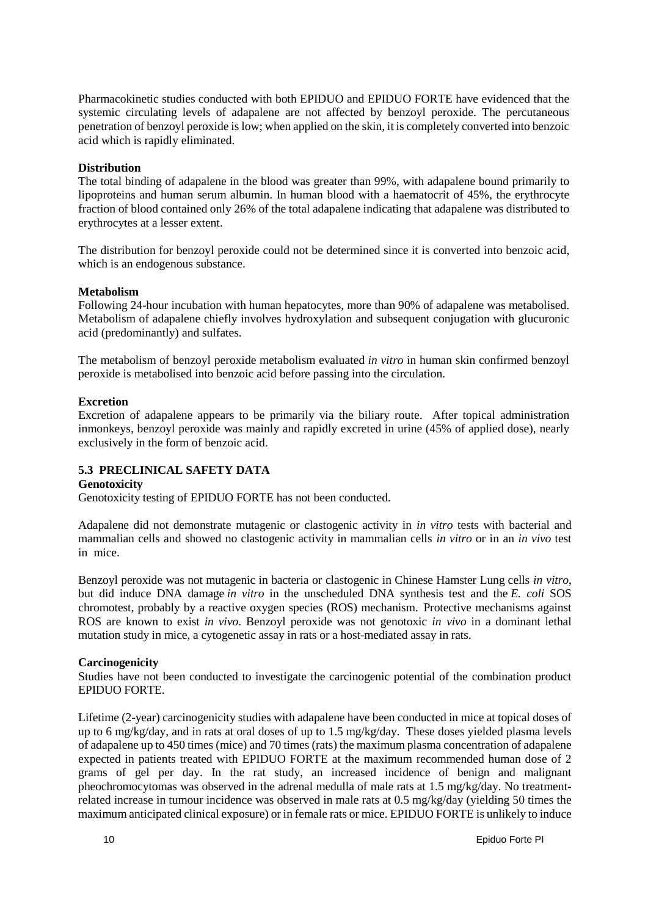Pharmacokinetic studies conducted with both EPIDUO and EPIDUO FORTE have evidenced that the systemic circulating levels of adapalene are not affected by benzoyl peroxide. The percutaneous penetration of benzoyl peroxide is low; when applied on the skin, it is completely converted into benzoic acid which is rapidly eliminated.

## **Distribution**

The total binding of adapalene in the blood was greater than 99%, with adapalene bound primarily to lipoproteins and human serum albumin. In human blood with a haematocrit of 45%, the erythrocyte fraction of blood contained only 26% of the total adapalene indicating that adapalene was distributed to erythrocytes at a lesser extent.

The distribution for benzoyl peroxide could not be determined since it is converted into benzoic acid, which is an endogenous substance.

#### **Metabolism**

Following 24-hour incubation with human hepatocytes, more than 90% of adapalene was metabolised. Metabolism of adapalene chiefly involves hydroxylation and subsequent conjugation with glucuronic acid (predominantly) and sulfates.

The metabolism of benzoyl peroxide metabolism evaluated *in vitro* in human skin confirmed benzoyl peroxide is metabolised into benzoic acid before passing into the circulation.

#### **Excretion**

Excretion of adapalene appears to be primarily via the biliary route. After topical administration inmonkeys, benzoyl peroxide was mainly and rapidly excreted in urine (45% of applied dose), nearly exclusively in the form of benzoic acid.

## **5.3 PRECLINICAL SAFETY DATA**

#### **Genotoxicity**

Genotoxicity testing of EPIDUO FORTE has not been conducted.

Adapalene did not demonstrate mutagenic or clastogenic activity in *in vitro* tests with bacterial and mammalian cells and showed no clastogenic activity in mammalian cells *in vitro* or in an *in vivo* test in mice.

Benzoyl peroxide was not mutagenic in bacteria or clastogenic in Chinese Hamster Lung cells *in vitro*, but did induce DNA damage *in vitro* in the unscheduled DNA synthesis test and the *E. coli* SOS chromotest, probably by a reactive oxygen species (ROS) mechanism. Protective mechanisms against ROS are known to exist *in vivo*. Benzoyl peroxide was not genotoxic *in vivo* in a dominant lethal mutation study in mice, a cytogenetic assay in rats or a host-mediated assay in rats.

#### **Carcinogenicity**

Studies have not been conducted to investigate the carcinogenic potential of the combination product EPIDUO FORTE.

Lifetime (2-year) carcinogenicity studies with adapalene have been conducted in mice at topical doses of up to 6 mg/kg/day, and in rats at oral doses of up to 1.5 mg/kg/day. These doses yielded plasma levels of adapalene up to 450 times (mice) and 70 times (rats) the maximum plasma concentration of adapalene expected in patients treated with EPIDUO FORTE at the maximum recommended human dose of 2 grams of gel per day. In the rat study, an increased incidence of benign and malignant pheochromocytomas was observed in the adrenal medulla of male rats at 1.5 mg/kg/day. No treatmentrelated increase in tumour incidence was observed in male rats at 0.5 mg/kg/day (yielding 50 times the maximum anticipated clinical exposure) or in female rats or mice. EPIDUO FORTE is unlikely to induce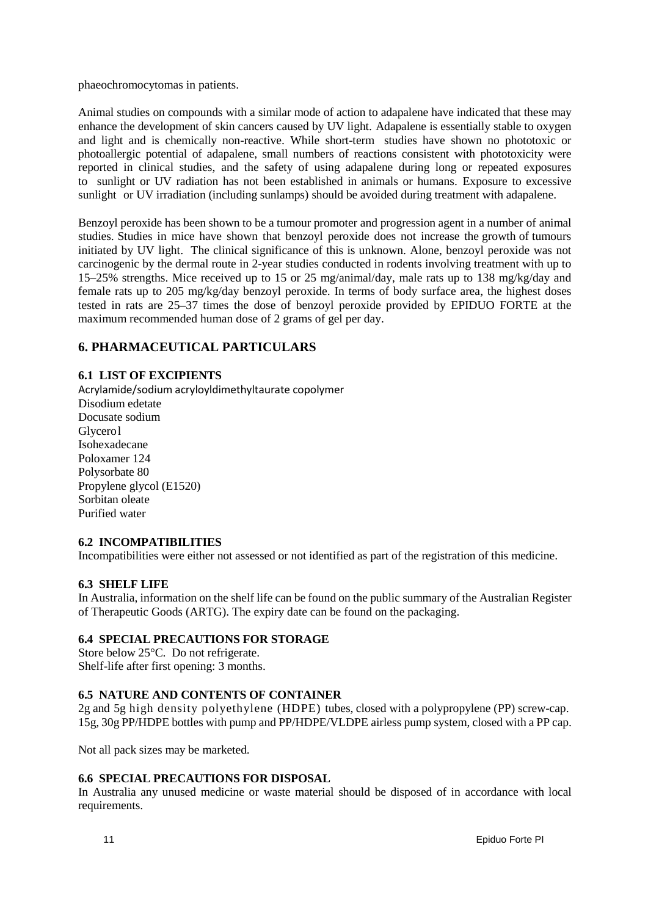phaeochromocytomas in patients.

Animal studies on compounds with a similar mode of action to adapalene have indicated that these may enhance the development of skin cancers caused by UV light. Adapalene is essentially stable to oxygen and light and is chemically non-reactive. While short-term studies have shown no phototoxic or photoallergic potential of adapalene, small numbers of reactions consistent with phototoxicity were reported in clinical studies, and the safety of using adapalene during long or repeated exposures to sunlight or UV radiation has not been established in animals or humans. Exposure to excessive sunlight or UV irradiation (including sunlamps) should be avoided during treatment with adapalene.

Benzoyl peroxide has been shown to be a tumour promoter and progression agent in a number of animal studies. Studies in mice have shown that benzoyl peroxide does not increase the growth of tumours initiated by UV light. The clinical significance of this is unknown. Alone, benzoyl peroxide was not carcinogenic by the dermal route in 2-year studies conducted in rodents involving treatment with up to 15–25% strengths. Mice received up to 15 or 25 mg/animal/day, male rats up to 138 mg/kg/day and female rats up to 205 mg/kg/day benzoyl peroxide. In terms of body surface area, the highest doses tested in rats are 25–37 times the dose of benzoyl peroxide provided by EPIDUO FORTE at the maximum recommended human dose of 2 grams of gel per day.

## **6. PHARMACEUTICAL PARTICULARS**

## **6.1 LIST OF EXCIPIENTS**

Acrylamide/sodium acryloyldimethyltaurate copolymer Disodium edetate Docusate sodium Glycerol Isohexadecane Poloxamer 124 Polysorbate 80 Propylene glycol (E1520) Sorbitan oleate Purified water

## **6.2 INCOMPATIBILITIES**

Incompatibilities were either not assessed or not identified as part of the registration of this medicine.

## **6.3 SHELF LIFE**

In Australia, information on the shelf life can be found on the public summary of the Australian Register of Therapeutic Goods (ARTG). The expiry date can be found on the packaging.

## **6.4 SPECIAL PRECAUTIONS FOR STORAGE**

Store below 25°C. Do not refrigerate. Shelf-life after first opening: 3 months.

## **6.5 NATURE AND CONTENTS OF CONTAINER**

2g and 5g high density polyethylene (HDPE) tubes, closed with a polypropylene (PP) screw-cap. 15g, 30g PP/HDPE bottles with pump and PP/HDPE/VLDPE airless pump system, closed with a PP cap.

Not all pack sizes may be marketed.

## **6.6 SPECIAL PRECAUTIONS FOR DISPOSAL**

In Australia any unused medicine or waste material should be disposed of in accordance with local requirements.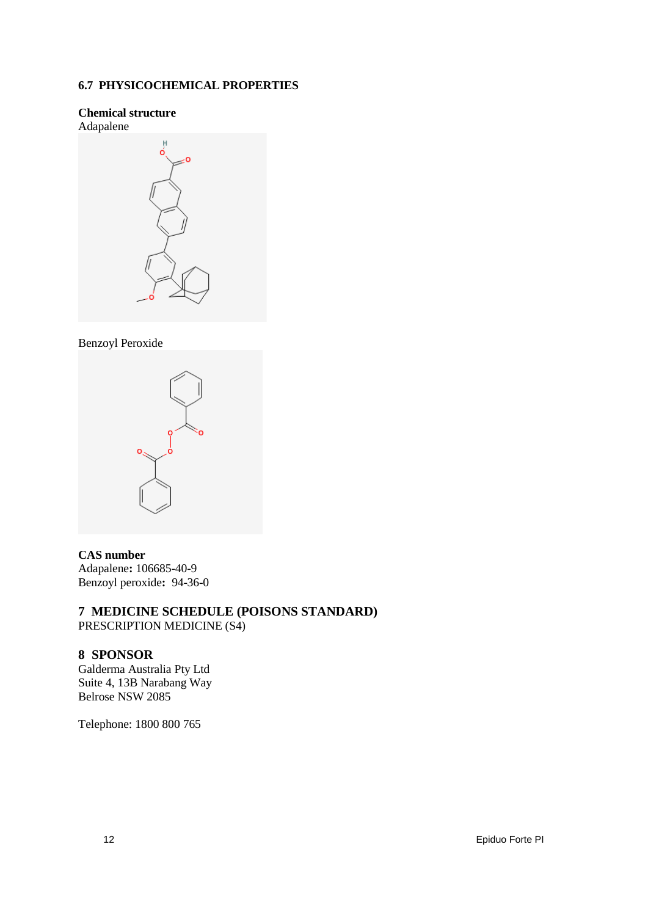## **6.7 PHYSICOCHEMICAL PROPERTIES**

## **Chemical structure**



## Benzoyl Peroxide



#### **CAS number**

Adapalene**:** 106685-40-9 Benzoyl peroxide**:** 94-36-0

# **7 MEDICINE SCHEDULE (POISONS STANDARD)**

PRESCRIPTION MEDICINE (S4)

## **8 SPONSOR**

Galderma Australia Pty Ltd Suite 4, 13B Narabang Way Belrose NSW 2085

Telephone: 1800 800 765